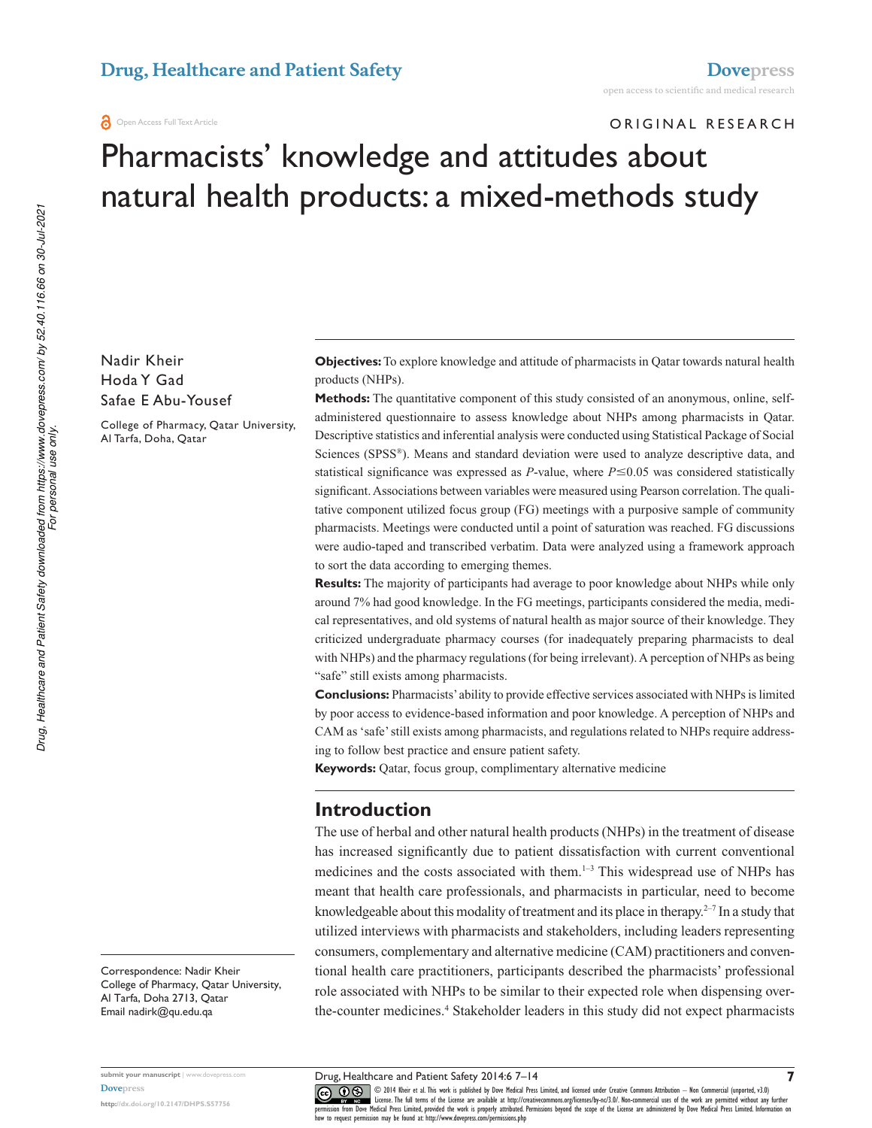#### **a** Open Access Full Text Article

### Original reSearcH

# Pharmacists' knowledge and attitudes about natural health products: a mixed-methods study

Nadir Kheir Hoda Y gad Safae E Abu-Yousef

college of Pharmacy, Qatar University, al Tarfa, Doha, Qatar

**Objectives:** To explore knowledge and attitude of pharmacists in Qatar towards natural health products (NHPs).

**Methods:** The quantitative component of this study consisted of an anonymous, online, selfadministered questionnaire to assess knowledge about NHPs among pharmacists in Qatar. Descriptive statistics and inferential analysis were conducted using Statistical Package of Social Sciences (SPSS® ). Means and standard deviation were used to analyze descriptive data, and statistical significance was expressed as *P*-value, where  $P \le 0.05$  was considered statistically significant. Associations between variables were measured using Pearson correlation. The qualitative component utilized focus group (FG) meetings with a purposive sample of community pharmacists. Meetings were conducted until a point of saturation was reached. FG discussions were audio-taped and transcribed verbatim. Data were analyzed using a framework approach to sort the data according to emerging themes.

**Results:** The majority of participants had average to poor knowledge about NHPs while only around 7% had good knowledge. In the FG meetings, participants considered the media, medical representatives, and old systems of natural health as major source of their knowledge. They criticized undergraduate pharmacy courses (for inadequately preparing pharmacists to deal with NHPs) and the pharmacy regulations (for being irrelevant). A perception of NHPs as being "safe" still exists among pharmacists.

**Conclusions:** Pharmacists' ability to provide effective services associated with NHPs is limited by poor access to evidence-based information and poor knowledge. A perception of NHPs and CAM as 'safe' still exists among pharmacists, and regulations related to NHPs require addressing to follow best practice and ensure patient safety.

**Keywords:** Qatar, focus group, complimentary alternative medicine

# **Introduction**

The use of herbal and other natural health products (NHPs) in the treatment of disease has increased significantly due to patient dissatisfaction with current conventional medicines and the costs associated with them.1–3 This widespread use of NHPs has meant that health care professionals, and pharmacists in particular, need to become knowledgeable about this modality of treatment and its place in therapy.<sup> $2-7$ </sup> In a study that utilized interviews with pharmacists and stakeholders, including leaders representing consumers, complementary and alternative medicine (CAM) practitioners and conventional health care practitioners, participants described the pharmacists' professional role associated with NHPs to be similar to their expected role when dispensing overthe-counter medicines.<sup>4</sup> Stakeholder leaders in this study did not expect pharmacists

Correspondence: Nadir Kheir college of Pharmacy, Qatar University, al Tarfa, Doha 2713, Qatar email nadirk@qu.edu.qa

**submit your manuscript** | www.dovepress.com **Dovepress** 

**http://dx.doi.org/10.2147/DHPS.S57756**

Drug, Healthcare and Patient Safety 2014:6 7–14

CO ODI4 Kheir et al. This work is published by Dove Medical Press Limited, and licensed under Creative Commons Attribution - Non Commercial (unported, v3.0)<br>
permission from Dove Medical Press Limited, provided the work is how to request permission may be found at: http://www.dovepress.com/permissions.php

**7**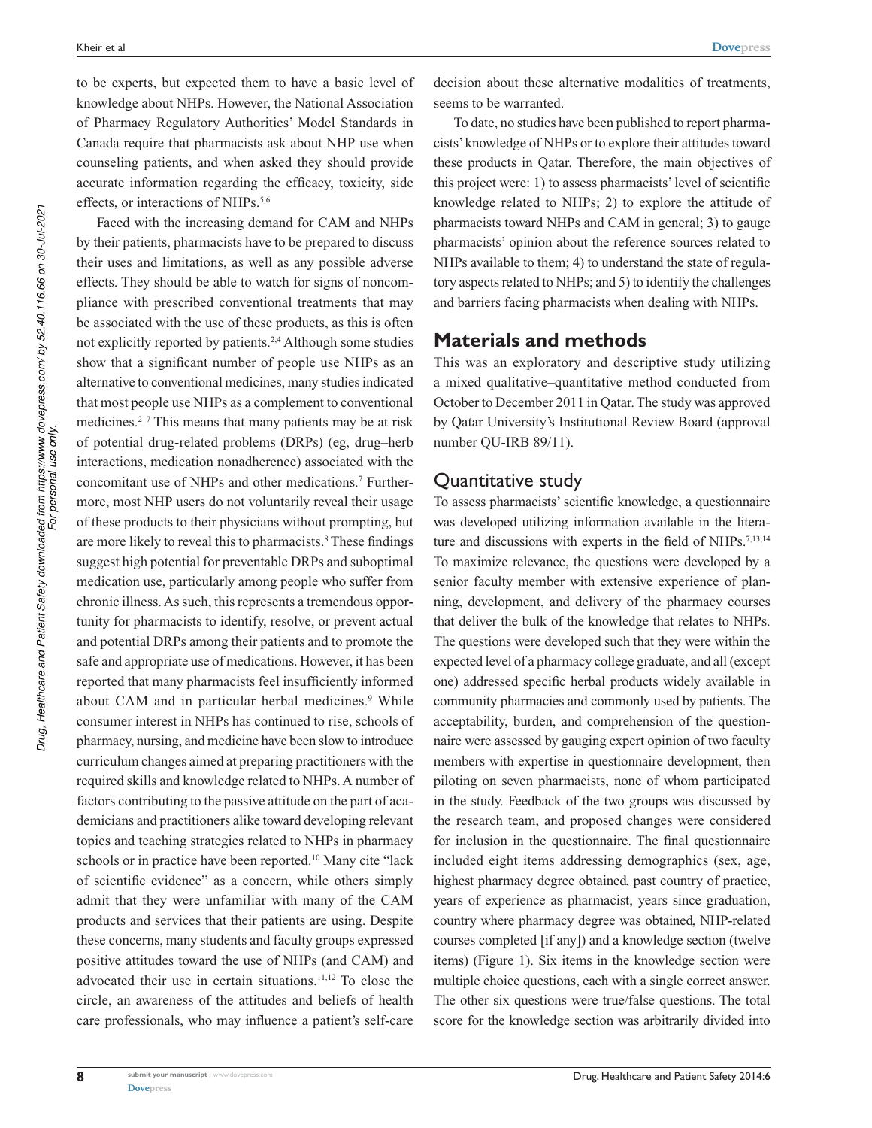to be experts, but expected them to have a basic level of knowledge about NHPs. However, the National Association of Pharmacy Regulatory Authorities' Model Standards in Canada require that pharmacists ask about NHP use when counseling patients, and when asked they should provide accurate information regarding the efficacy, toxicity, side effects, or interactions of NHPs.<sup>5,6</sup>

Faced with the increasing demand for CAM and NHPs by their patients, pharmacists have to be prepared to discuss their uses and limitations, as well as any possible adverse effects. They should be able to watch for signs of noncompliance with prescribed conventional treatments that may be associated with the use of these products, as this is often not explicitly reported by patients.2,4 Although some studies show that a significant number of people use NHPs as an alternative to conventional medicines, many studies indicated that most people use NHPs as a complement to conventional medicines.2–7 This means that many patients may be at risk of potential drug-related problems (DRPs) (eg, drug–herb interactions, medication nonadherence) associated with the concomitant use of NHPs and other medications.<sup>7</sup> Furthermore, most NHP users do not voluntarily reveal their usage of these products to their physicians without prompting, but are more likely to reveal this to pharmacists.<sup>8</sup> These findings suggest high potential for preventable DRPs and suboptimal medication use, particularly among people who suffer from chronic illness. As such, this represents a tremendous opportunity for pharmacists to identify, resolve, or prevent actual and potential DRPs among their patients and to promote the safe and appropriate use of medications. However, it has been reported that many pharmacists feel insufficiently informed about CAM and in particular herbal medicines.<sup>9</sup> While consumer interest in NHPs has continued to rise, schools of pharmacy, nursing, and medicine have been slow to introduce curriculum changes aimed at preparing practitioners with the required skills and knowledge related to NHPs. A number of factors contributing to the passive attitude on the part of academicians and practitioners alike toward developing relevant topics and teaching strategies related to NHPs in pharmacy schools or in practice have been reported.<sup>10</sup> Many cite "lack of scientific evidence" as a concern, while others simply admit that they were unfamiliar with many of the CAM products and services that their patients are using. Despite these concerns, many students and faculty groups expressed positive attitudes toward the use of NHPs (and CAM) and advocated their use in certain situations.<sup>11,12</sup> To close the circle, an awareness of the attitudes and beliefs of health care professionals, who may influence a patient's self-care

decision about these alternative modalities of treatments, seems to be warranted.

To date, no studies have been published to report pharmacists' knowledge of NHPs or to explore their attitudes toward these products in Qatar. Therefore, the main objectives of this project were: 1) to assess pharmacists' level of scientific knowledge related to NHPs; 2) to explore the attitude of pharmacists toward NHPs and CAM in general; 3) to gauge pharmacists' opinion about the reference sources related to NHPs available to them; 4) to understand the state of regulatory aspects related to NHPs; and 5) to identify the challenges and barriers facing pharmacists when dealing with NHPs.

# **Materials and methods**

This was an exploratory and descriptive study utilizing a mixed qualitative–quantitative method conducted from October to December 2011 in Qatar. The study was approved by Qatar University's Institutional Review Board (approval number QU-IRB 89/11).

# Quantitative study

To assess pharmacists' scientific knowledge, a questionnaire was developed utilizing information available in the literature and discussions with experts in the field of NHPs.<sup>7,13,14</sup> To maximize relevance, the questions were developed by a senior faculty member with extensive experience of planning, development, and delivery of the pharmacy courses that deliver the bulk of the knowledge that relates to NHPs. The questions were developed such that they were within the expected level of a pharmacy college graduate, and all (except one) addressed specific herbal products widely available in community pharmacies and commonly used by patients. The acceptability, burden, and comprehension of the questionnaire were assessed by gauging expert opinion of two faculty members with expertise in questionnaire development, then piloting on seven pharmacists, none of whom participated in the study. Feedback of the two groups was discussed by the research team, and proposed changes were considered for inclusion in the questionnaire. The final questionnaire included eight items addressing demographics (sex, age, highest pharmacy degree obtained, past country of practice, years of experience as pharmacist, years since graduation, country where pharmacy degree was obtained, NHP-related courses completed [if any]) and a knowledge section (twelve items) (Figure 1). Six items in the knowledge section were multiple choice questions, each with a single correct answer. The other six questions were true/false questions. The total score for the knowledge section was arbitrarily divided into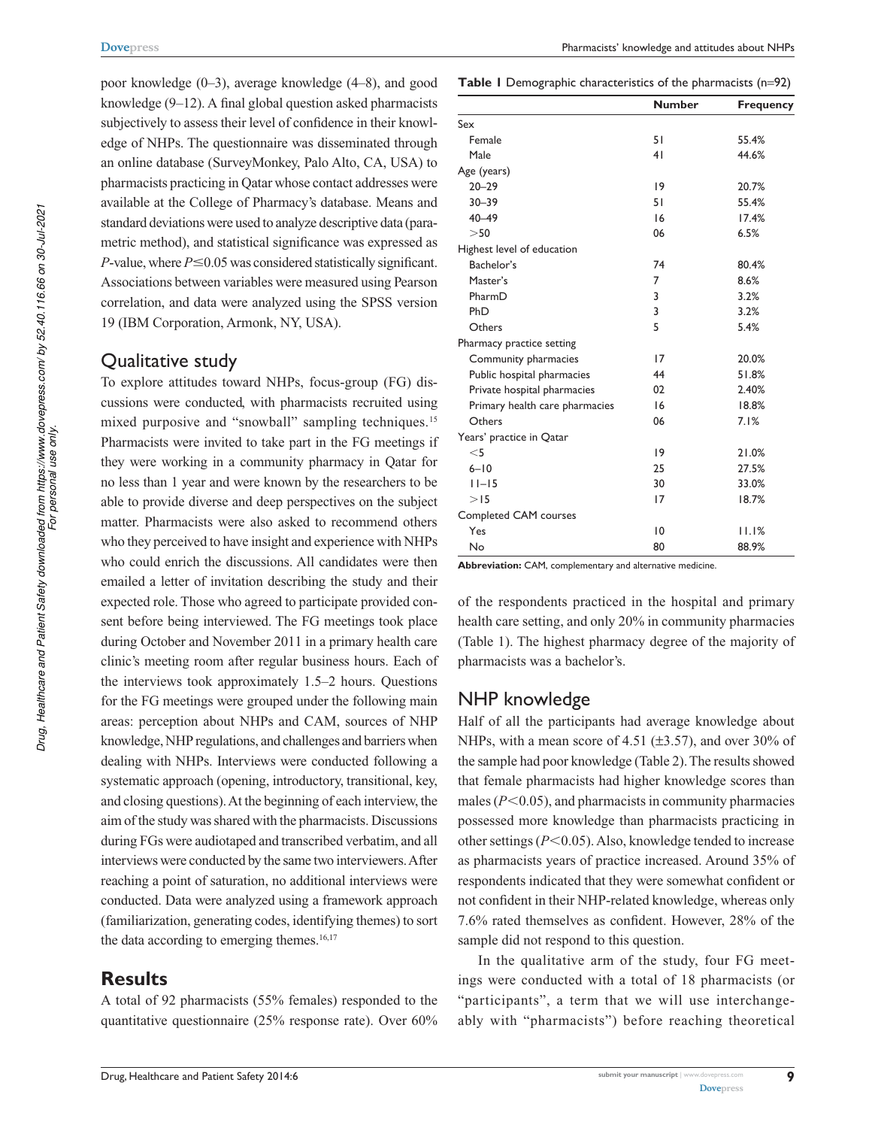poor knowledge (0–3), average knowledge (4–8), and good knowledge (9–12). A final global question asked pharmacists subjectively to assess their level of confidence in their knowledge of NHPs. The questionnaire was disseminated through an online database (SurveyMonkey, Palo Alto, CA, USA) to pharmacists practicing in Qatar whose contact addresses were available at the College of Pharmacy's database. Means and standard deviations were used to analyze descriptive data (parametric method), and statistical significance was expressed as *P*-value, where  $P \le 0.05$  was considered statistically significant. Associations between variables were measured using Pearson correlation, and data were analyzed using the SPSS version 19 (IBM Corporation, Armonk, NY, USA).

## Qualitative study

To explore attitudes toward NHPs, focus-group (FG) discussions were conducted, with pharmacists recruited using mixed purposive and "snowball" sampling techniques.<sup>15</sup> Pharmacists were invited to take part in the FG meetings if they were working in a community pharmacy in Qatar for no less than 1 year and were known by the researchers to be able to provide diverse and deep perspectives on the subject matter. Pharmacists were also asked to recommend others who they perceived to have insight and experience with NHPs who could enrich the discussions. All candidates were then emailed a letter of invitation describing the study and their expected role. Those who agreed to participate provided consent before being interviewed. The FG meetings took place during October and November 2011 in a primary health care clinic's meeting room after regular business hours. Each of the interviews took approximately 1.5–2 hours. Questions for the FG meetings were grouped under the following main areas: perception about NHPs and CAM, sources of NHP knowledge, NHP regulations, and challenges and barriers when dealing with NHPs. Interviews were conducted following a systematic approach (opening, introductory, transitional, key, and closing questions). At the beginning of each interview, the aim of the study was shared with the pharmacists. Discussions during FGs were audiotaped and transcribed verbatim, and all interviews were conducted by the same two interviewers. After reaching a point of saturation, no additional interviews were conducted. Data were analyzed using a framework approach (familiarization, generating codes, identifying themes) to sort the data according to emerging themes.<sup>16,17</sup>

# **Results**

A total of 92 pharmacists (55% females) responded to the quantitative questionnaire (25% response rate). Over 60%

#### **Table 1** Demographic characteristics of the pharmacists (n=92)

|                                | <b>Number</b> | <b>Frequency</b> |
|--------------------------------|---------------|------------------|
| Sex                            |               |                  |
| Female                         | 51            | 55.4%            |
| Male                           | 41            | 44.6%            |
| Age (years)                    |               |                  |
| $20 - 29$                      | 19            | 20.7%            |
| $30 - 39$                      | 51            | 55.4%            |
| $40 - 49$                      | 16            | 17.4%            |
| >50                            | 06            | 6.5%             |
| Highest level of education     |               |                  |
| Bachelor's                     | 74            | 80.4%            |
| Master's                       | 7             | 8.6%             |
| PharmD                         | 3             | 3.2%             |
| PhD                            | 3             | 3.2%             |
| Others                         | 5             | 5.4%             |
| Pharmacy practice setting      |               |                  |
| Community pharmacies           | 17            | 20.0%            |
| Public hospital pharmacies     | 44            | 51.8%            |
| Private hospital pharmacies    | 02            | 2.40%            |
| Primary health care pharmacies | 16            | 18.8%            |
| Others                         | 06            | 7.1%             |
| Years' practice in Qatar       |               |                  |
| $<$ 5                          | 19            | 21.0%            |
| $6 - 10$                       | 25            | 27.5%            |
| $11 - 15$                      | 30            | 33.0%            |
| >15                            | 17            | 18.7%            |
| Completed CAM courses          |               |                  |
| Yes                            | 10            | 11.1%            |
| No                             | 80            | 88.9%            |

Abbreviation: CAM, complementary and alternative medicine.

of the respondents practiced in the hospital and primary health care setting, and only 20% in community pharmacies (Table 1). The highest pharmacy degree of the majority of pharmacists was a bachelor's.

## NHP knowledge

Half of all the participants had average knowledge about NHPs, with a mean score of 4.51 ( $\pm$ 3.57), and over 30% of the sample had poor knowledge (Table 2). The results showed that female pharmacists had higher knowledge scores than males  $(P<0.05)$ , and pharmacists in community pharmacies possessed more knowledge than pharmacists practicing in other settings (*P*<0.05). Also, knowledge tended to increase as pharmacists years of practice increased. Around 35% of respondents indicated that they were somewhat confident or not confident in their NHP-related knowledge, whereas only 7.6% rated themselves as confident. However, 28% of the sample did not respond to this question.

In the qualitative arm of the study, four FG meetings were conducted with a total of 18 pharmacists (or "participants", a term that we will use interchangeably with "pharmacists") before reaching theoretical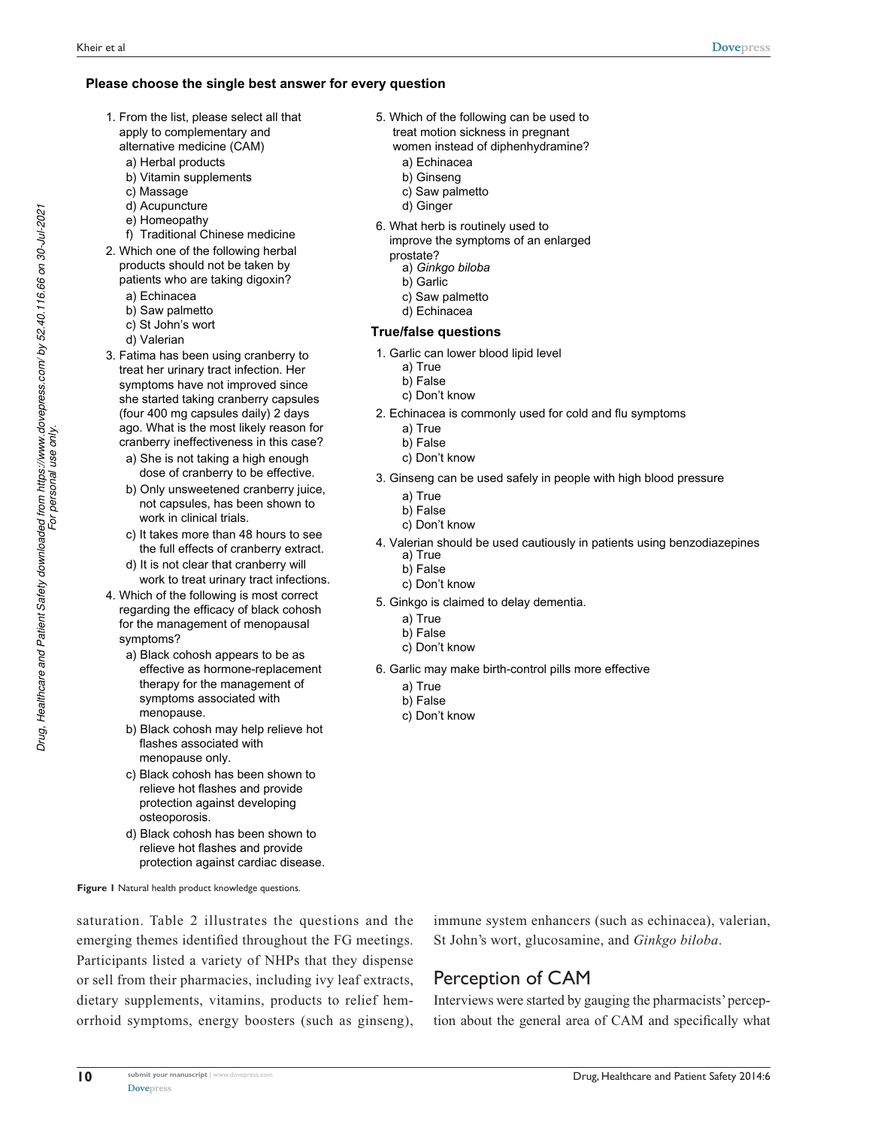#### **Please choose the single best answer for every question**

- 1. From the list, please select all that apply to complementary and alternative medicine (CAM)
	- a) Herbal products
	- b) Vitamin supplements
	- c) Massage
	- d) Acupuncture
	- e) Homeopathy
	- f) Traditional Chinese medicine
- 2. Which one of the following herbal products should not be taken by
	- patients who are taking digoxin?
	- a) Echinacea
	- b) Saw palmetto
	- c) St John's wort
	- d) Valerian
- 3. Fatima has been using cranberry to treat her urinary tract infection. Her symptoms have not improved since she started taking cranberry capsules (four 400 mg capsules daily) 2 days ago. What is the most likely reason for cranberry ineffectiveness in this case?
	- a) She is not taking a high enough dose of cranberry to be effective.
	- b) Only unsweetened cranberry juice. not capsules, has been shown to work in clinical trials.
	- c) It takes more than 48 hours to see the full effects of cranberry extract.
	- d) It is not clear that cranberry will work to treat urinary tract infections.
- 4. Which of the following is most correct regarding the efficacy of black cohosh for the management of menopausal symptoms?
	- a) Black cohosh appears to be as effective as hormone-replacement therapy for the management of symptoms associated with menopause.
	- b) Black cohosh may help relieve hot flashes associated with menopause only.
	- c) Black cohosh has been shown to relieve hot flashes and provide protection against developing osteoporosis.
	- d) Black cohosh has been shown to relieve hot flashes and provide protection against cardiac disease.

**Figure 1** Natural health product knowledge questions.

**Dovepress** 

**10**

saturation. Table 2 illustrates the questions and the emerging themes identified throughout the FG meetings. Participants listed a variety of NHPs that they dispense or sell from their pharmacies, including ivy leaf extracts, dietary supplements, vitamins, products to relief hemorrhoid symptoms, energy boosters (such as ginseng),

- 5. Which of the following can be used to treat motion sickness in pregnant women instead of diphenhydramine?
	- a) Echinacea
	- b) Ginseng
	- c) Saw palmetto
	- d) Ginger
- 6. What herb is routinely used to improve the symptoms of an enlarged
	- prostate?
		- a) *Ginkgo biloba*
		- b) Garlic
		- c) Saw palmetto
		- d) Echinacea

#### **True/false questions**

- 1. Garlic can lower blood lipid level
	- a) True
	- b) False
	- c) Don't know
- 2. Echinacea is commonly used for cold and flu symptoms
	- a) True
	- b) False
	- c) Don't know
- 3. Ginseng can be used safely in people with high blood pressure
	- a) True
	- b) False
	- c) Don't know
- 4. Valerian should be used cautiously in patients using benzodiazepines a) True
	- b) False
	- c) Don't know
- 5. Ginkgo is claimed to delay dementia.
	- a) True
	- b) False
	- c) Don't know
- 6. Garlic may make birth-control pills more effective
	- a) True
	- b) False
	- c) Don't know

immune system enhancers (such as echinacea), valerian, St John's wort, glucosamine, and *Ginkgo biloba*.

# Perception of CAM

Interviews were started by gauging the pharmacists' perception about the general area of CAM and specifically what

*Drug, Healthcare and Patient Safety downloaded from https://www.dovepress.com/ by 52.40.116.66 on 30-Jul-2021*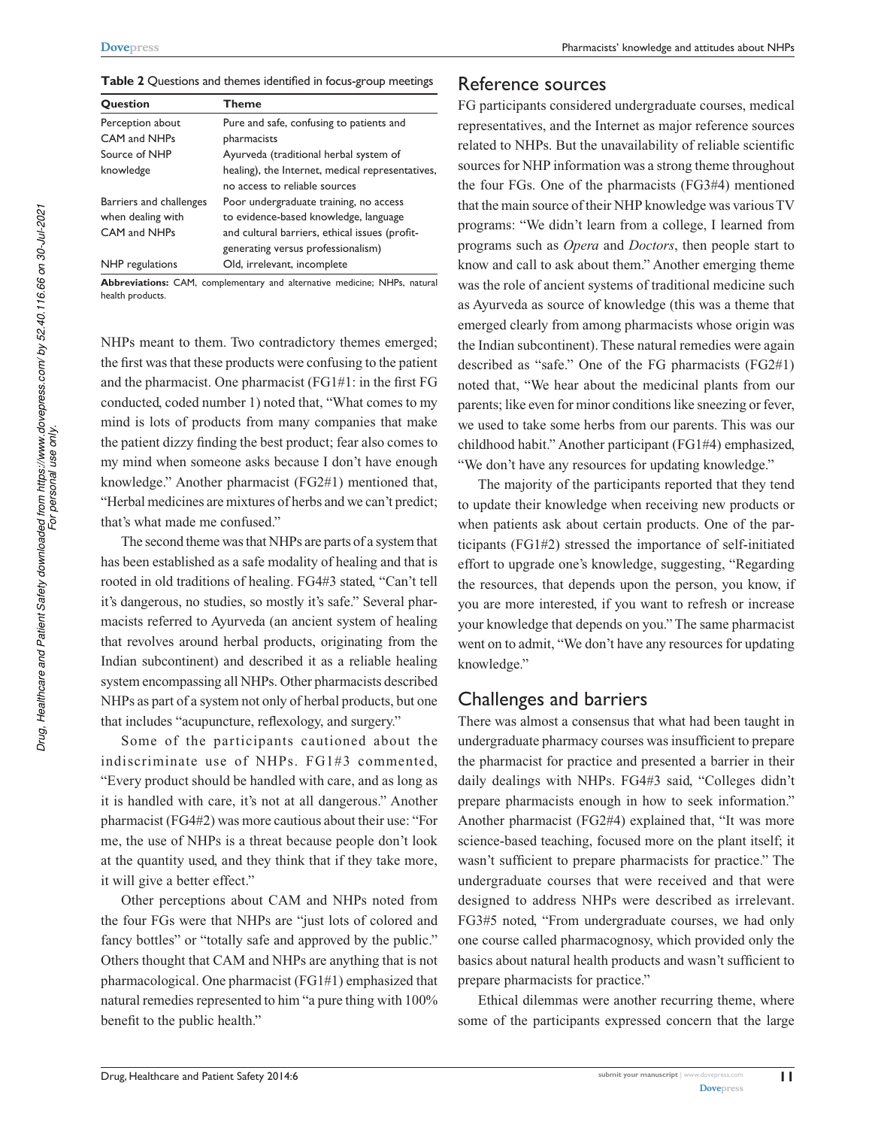| <b>Question</b>         | <b>Theme</b>                                     |
|-------------------------|--------------------------------------------------|
| Perception about        | Pure and safe, confusing to patients and         |
| CAM and NHPs            | pharmacists                                      |
| Source of NHP           | Ayurveda (traditional herbal system of           |
| knowledge               | healing), the Internet, medical representatives, |
|                         | no access to reliable sources                    |
| Barriers and challenges | Poor undergraduate training, no access           |
| when dealing with       | to evidence-based knowledge, language            |
| CAM and NHPs            | and cultural barriers, ethical issues (profit-   |
|                         | generating versus professionalism)               |
| NHP regulations         | Old, irrelevant, incomplete                      |

**Table 2** Questions and themes identified in focus-group meetings

Abbreviations: CAM, complementary and alternative medicine; NHPs, natural health products.

NHPs meant to them. Two contradictory themes emerged; the first was that these products were confusing to the patient and the pharmacist. One pharmacist (FG1#1: in the first FG conducted, coded number 1) noted that, "What comes to my mind is lots of products from many companies that make the patient dizzy finding the best product; fear also comes to my mind when someone asks because I don't have enough knowledge." Another pharmacist (FG2#1) mentioned that, "Herbal medicines are mixtures of herbs and we can't predict; that's what made me confused."

The second theme was that NHPs are parts of a system that has been established as a safe modality of healing and that is rooted in old traditions of healing. FG4#3 stated, "Can't tell it's dangerous, no studies, so mostly it's safe." Several pharmacists referred to Ayurveda (an ancient system of healing that revolves around herbal products, originating from the Indian subcontinent) and described it as a reliable healing system encompassing all NHPs. Other pharmacists described NHPs as part of a system not only of herbal products, but one that includes "acupuncture, reflexology, and surgery."

Some of the participants cautioned about the indiscriminate use of NHPs. FG1#3 commented, "Every product should be handled with care, and as long as it is handled with care, it's not at all dangerous." Another pharmacist (FG4#2) was more cautious about their use: "For me, the use of NHPs is a threat because people don't look at the quantity used, and they think that if they take more, it will give a better effect."

Other perceptions about CAM and NHPs noted from the four FGs were that NHPs are "just lots of colored and fancy bottles" or "totally safe and approved by the public." Others thought that CAM and NHPs are anything that is not pharmacological. One pharmacist (FG1#1) emphasized that natural remedies represented to him "a pure thing with 100% benefit to the public health."

## Reference sources

FG participants considered undergraduate courses, medical representatives, and the Internet as major reference sources related to NHPs. But the unavailability of reliable scientific sources for NHP information was a strong theme throughout the four FGs. One of the pharmacists (FG3#4) mentioned that the main source of their NHP knowledge was various TV programs: "We didn't learn from a college, I learned from programs such as *Opera* and *Doctors*, then people start to know and call to ask about them." Another emerging theme was the role of ancient systems of traditional medicine such as Ayurveda as source of knowledge (this was a theme that emerged clearly from among pharmacists whose origin was the Indian subcontinent). These natural remedies were again described as "safe." One of the FG pharmacists (FG2#1) noted that, "We hear about the medicinal plants from our parents; like even for minor conditions like sneezing or fever, we used to take some herbs from our parents. This was our childhood habit." Another participant (FG1#4) emphasized, "We don't have any resources for updating knowledge."

The majority of the participants reported that they tend to update their knowledge when receiving new products or when patients ask about certain products. One of the participants (FG1#2) stressed the importance of self-initiated effort to upgrade one's knowledge, suggesting, "Regarding the resources, that depends upon the person, you know, if you are more interested, if you want to refresh or increase your knowledge that depends on you." The same pharmacist went on to admit, "We don't have any resources for updating knowledge."

# challenges and barriers

There was almost a consensus that what had been taught in undergraduate pharmacy courses was insufficient to prepare the pharmacist for practice and presented a barrier in their daily dealings with NHPs. FG4#3 said, "Colleges didn't prepare pharmacists enough in how to seek information." Another pharmacist (FG2#4) explained that, "It was more science-based teaching, focused more on the plant itself; it wasn't sufficient to prepare pharmacists for practice." The undergraduate courses that were received and that were designed to address NHPs were described as irrelevant. FG3#5 noted, "From undergraduate courses, we had only one course called pharmacognosy, which provided only the basics about natural health products and wasn't sufficient to prepare pharmacists for practice."

Ethical dilemmas were another recurring theme, where some of the participants expressed concern that the large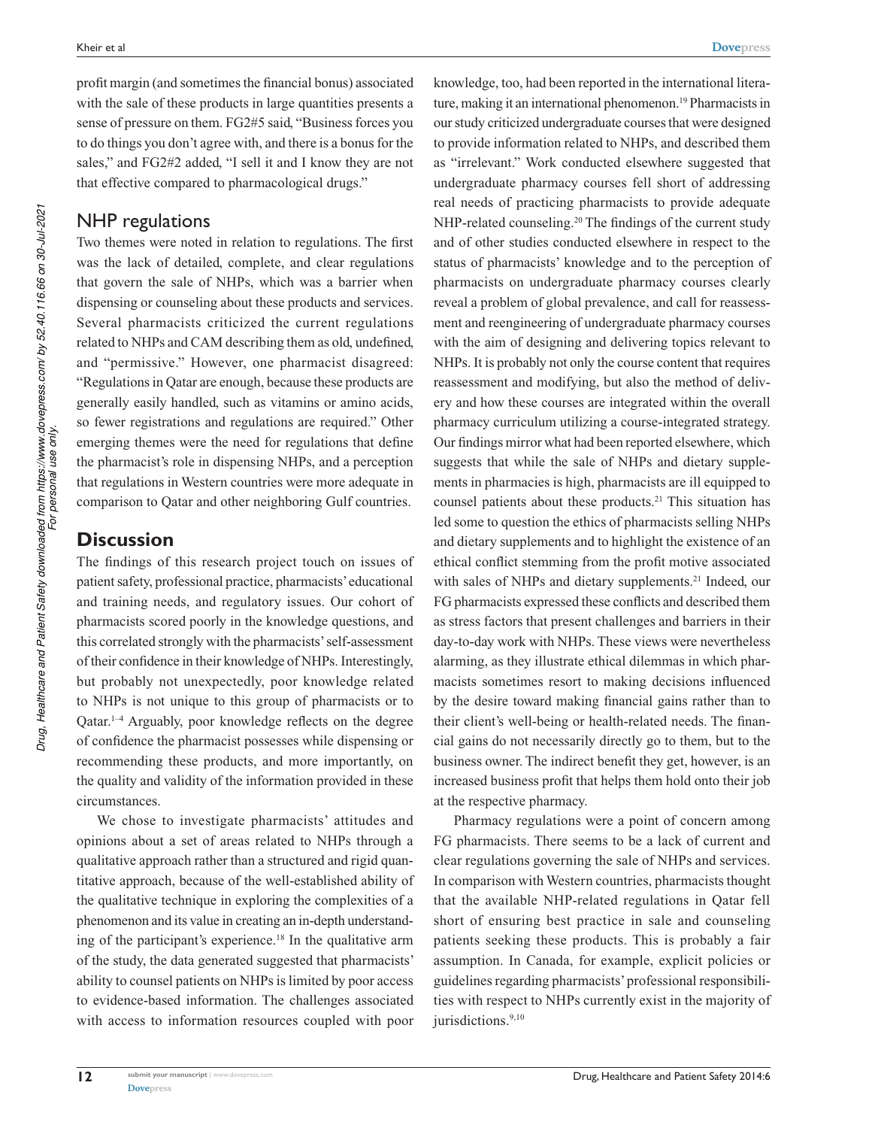profit margin (and sometimes the financial bonus) associated with the sale of these products in large quantities presents a sense of pressure on them. FG2#5 said, "Business forces you to do things you don't agree with, and there is a bonus for the sales," and FG2#2 added, "I sell it and I know they are not that effective compared to pharmacological drugs."

# NHP regulations

Two themes were noted in relation to regulations. The first was the lack of detailed, complete, and clear regulations that govern the sale of NHPs, which was a barrier when dispensing or counseling about these products and services. Several pharmacists criticized the current regulations related to NHPs and CAM describing them as old, undefined, and "permissive." However, one pharmacist disagreed: "Regulations in Qatar are enough, because these products are generally easily handled, such as vitamins or amino acids, so fewer registrations and regulations are required." Other emerging themes were the need for regulations that define the pharmacist's role in dispensing NHPs, and a perception that regulations in Western countries were more adequate in comparison to Qatar and other neighboring Gulf countries.

# **Discussion**

The findings of this research project touch on issues of patient safety, professional practice, pharmacists' educational and training needs, and regulatory issues. Our cohort of pharmacists scored poorly in the knowledge questions, and this correlated strongly with the pharmacists' self-assessment of their confidence in their knowledge of NHPs. Interestingly, but probably not unexpectedly, poor knowledge related to NHPs is not unique to this group of pharmacists or to Qatar.1–4 Arguably, poor knowledge reflects on the degree of confidence the pharmacist possesses while dispensing or recommending these products, and more importantly, on the quality and validity of the information provided in these circumstances.

We chose to investigate pharmacists' attitudes and opinions about a set of areas related to NHPs through a qualitative approach rather than a structured and rigid quantitative approach, because of the well-established ability of the qualitative technique in exploring the complexities of a phenomenon and its value in creating an in-depth understanding of the participant's experience.<sup>18</sup> In the qualitative arm of the study, the data generated suggested that pharmacists' ability to counsel patients on NHPs is limited by poor access to evidence-based information. The challenges associated with access to information resources coupled with poor know ledge, too, had been reported in the international literature, making it an international phenomenon.<sup>19</sup> Pharmacists in our study criticized undergraduate courses that were designed to provide information related to NHPs, and described them as "irrelevant." Work conducted elsewhere suggested that undergraduate pharmacy courses fell short of addressing real needs of practicing pharmacists to provide adequate NHP-related counseling.<sup>20</sup> The findings of the current study and of other studies conducted elsewhere in respect to the status of pharmacists' knowledge and to the perception of pharmacists on undergraduate pharmacy courses clearly reveal a problem of global prevalence, and call for reassessment and reengineering of undergraduate pharmacy courses with the aim of designing and delivering topics relevant to NHPs. It is probably not only the course content that requires reassessment and modifying, but also the method of delivery and how these courses are integrated within the overall pharmacy curriculum utilizing a course-integrated strategy. Our findings mirror what had been reported elsewhere, which suggests that while the sale of NHPs and dietary supplements in pharmacies is high, pharmacists are ill equipped to counsel patients about these products.<sup>21</sup> This situation has led some to question the ethics of pharmacists selling NHPs and dietary supplements and to highlight the existence of an ethical conflict stemming from the profit motive associated with sales of NHPs and dietary supplements.<sup>21</sup> Indeed, our FG pharmacists expressed these conflicts and described them as stress factors that present challenges and barriers in their day-to-day work with NHPs. These views were nevertheless alarming, as they illustrate ethical dilemmas in which pharmacists sometimes resort to making decisions influenced by the desire toward making financial gains rather than to their client's well-being or health-related needs. The financial gains do not necessarily directly go to them, but to the business owner. The indirect benefit they get, however, is an increased business profit that helps them hold onto their job at the respective pharmacy.

Pharmacy regulations were a point of concern among FG pharmacists. There seems to be a lack of current and clear regulations governing the sale of NHPs and services. In comparison with Western countries, pharmacists thought that the available NHP-related regulations in Qatar fell short of ensuring best practice in sale and counseling patients seeking these products. This is probably a fair assumption. In Canada, for example, explicit policies or guidelines regarding pharmacists' professional responsibilities with respect to NHPs currently exist in the majority of jurisdictions.<sup>9,10</sup>

**12**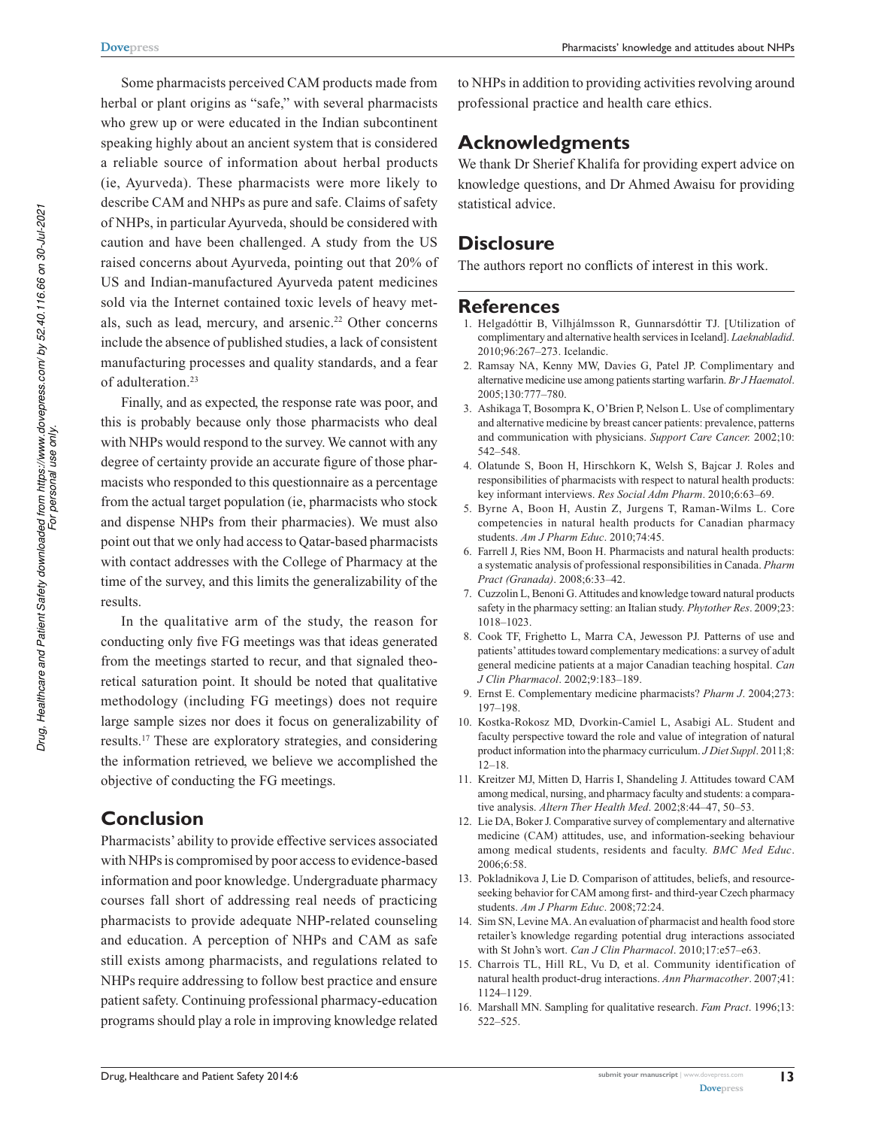Some pharmacists perceived CAM products made from herbal or plant origins as "safe," with several pharmacists who grew up or were educated in the Indian subcontinent speaking highly about an ancient system that is considered a reliable source of information about herbal products (ie, Ayurveda). These pharmacists were more likely to describe CAM and NHPs as pure and safe. Claims of safety of NHPs, in particular Ayurveda, should be considered with caution and have been challenged. A study from the US raised concerns about Ayurveda, pointing out that 20% of US and Indian-manufactured Ayurveda patent medicines sold via the Internet contained toxic levels of heavy metals, such as lead, mercury, and arsenic.<sup>22</sup> Other concerns include the absence of published studies, a lack of consistent manufacturing processes and quality standards, and a fear of adulteration.<sup>23</sup>

Finally, and as expected, the response rate was poor, and this is probably because only those pharmacists who deal with NHPs would respond to the survey. We cannot with any degree of certainty provide an accurate figure of those pharmacists who responded to this questionnaire as a percentage from the actual target population (ie, pharmacists who stock and dispense NHPs from their pharmacies). We must also point out that we only had access to Qatar-based pharmacists with contact addresses with the College of Pharmacy at the time of the survey, and this limits the generalizability of the results.

In the qualitative arm of the study, the reason for conducting only five FG meetings was that ideas generated from the meetings started to recur, and that signaled theoretical saturation point. It should be noted that qualitative methodology (including FG meetings) does not require large sample sizes nor does it focus on generalizability of results.<sup>17</sup> These are exploratory strategies, and considering the information retrieved, we believe we accomplished the objective of conducting the FG meetings.

# **Conclusion**

Pharmacists' ability to provide effective services associated with NHPs is compromised by poor access to evidence-based information and poor knowledge. Undergraduate pharmacy courses fall short of addressing real needs of practicing pharmacists to provide adequate NHP-related counseling and education. A perception of NHPs and CAM as safe still exists among pharmacists, and regulations related to NHPs require addressing to follow best practice and ensure patient safety. Continuing professional pharmacy-education programs should play a role in improving knowledge related

to NHPs in addition to providing activities revolving around professional practice and health care ethics.

# **Acknowledgments**

We thank Dr Sherief Khalifa for providing expert advice on knowledge questions, and Dr Ahmed Awaisu for providing statistical advice.

# **Disclosure**

The authors report no conflicts of interest in this work.

## **References**

- 1. Helgadóttir B, Vilhjálmsson R, Gunnarsdóttir TJ. [Utilization of complimentary and alternative health services in Iceland]. *Laeknabladid*. 2010;96:267–273. Icelandic.
- 2. Ramsay NA, Kenny MW, Davies G, Patel JP. Complimentary and alternative medicine use among patients starting warfarin. *Br J Haematol*. 2005;130:777–780.
- 3. Ashikaga T, Bosompra K, O'Brien P, Nelson L. Use of complimentary and alternative medicine by breast cancer patients: prevalence, patterns and communication with physicians. *Support Care Cancer.* 2002;10: 542–548.
- 4. Olatunde S, Boon H, Hirschkorn K, Welsh S, Bajcar J. Roles and responsibilities of pharmacists with respect to natural health products: key informant interviews. *Res Social Adm Pharm*. 2010;6:63–69.
- 5. Byrne A, Boon H, Austin Z, Jurgens T, Raman-Wilms L. Core competencies in natural health products for Canadian pharmacy students. *Am J Pharm Educ*. 2010;74:45.
- 6. Farrell J, Ries NM, Boon H. Pharmacists and natural health products: a systematic analysis of professional responsibilities in Canada. *Pharm Pract (Granada)*. 2008;6:33–42.
- 7. Cuzzolin L, Benoni G. Attitudes and knowledge toward natural products safety in the pharmacy setting: an Italian study. *Phytother Res*. 2009;23: 1018–1023.
- 8. Cook TF, Frighetto L, Marra CA, Jewesson PJ. Patterns of use and patients' attitudes toward complementary medications: a survey of adult general medicine patients at a major Canadian teaching hospital. *Can J Clin Pharmacol*. 2002;9:183–189.
- 9. Ernst E. Complementary medicine pharmacists? *Pharm J*. 2004;273: 197–198.
- 10. Kostka-Rokosz MD, Dvorkin-Camiel L, Asabigi AL. Student and faculty perspective toward the role and value of integration of natural product information into the pharmacy curriculum. *J Diet Suppl*. 2011;8: 12–18.
- 11. Kreitzer MJ, Mitten D, Harris I, Shandeling J. Attitudes toward CAM among medical, nursing, and pharmacy faculty and students: a comparative analysis. *Altern Ther Health Med*. 2002;8:44–47, 50–53.
- 12. Lie DA, Boker J. Comparative survey of complementary and alternative medicine (CAM) attitudes, use, and information-seeking behaviour among medical students, residents and faculty. *BMC Med Educ*. 2006;6:58.
- 13. Pokladnikova J, Lie D. Comparison of attitudes, beliefs, and resourceseeking behavior for CAM among first- and third-year Czech pharmacy students. *Am J Pharm Educ*. 2008;72:24.
- 14. Sim SN, Levine MA. An evaluation of pharmacist and health food store retailer's knowledge regarding potential drug interactions associated with St John's wort. *Can J Clin Pharmacol*. 2010;17:e57–e63.
- 15. Charrois TL, Hill RL, Vu D, et al. Community identification of natural health product-drug interactions. *Ann Pharmacother*. 2007;41: 1124–1129.
- 16. Marshall MN. Sampling for qualitative research. *Fam Pract*. 1996;13: 522–525.